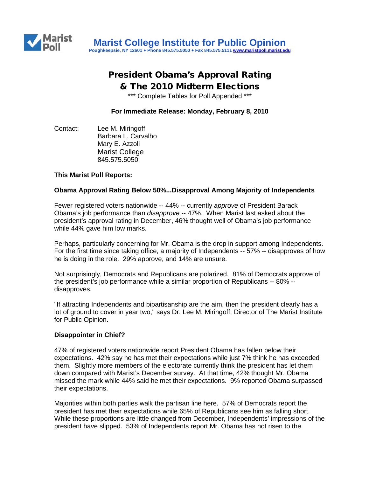

# President Obama's Approval Rating & The 2010 Midterm Elections

\*\*\* Complete Tables for Poll Appended \*\*\*

**For Immediate Release: Monday, February 8, 2010**

Contact: Lee M. Miringoff Barbara L. Carvalho Mary E. Azzoli Marist College 845.575.5050

#### **This Marist Poll Reports:**

#### **Obama Approval Rating Below 50%...Disapproval Among Majority of Independents**

Fewer registered voters nationwide -- 44% -- currently *approve* of President Barack Obama's job performance than *disapprove* -- 47%. When Marist last asked about the president's approval rating in December, 46% thought well of Obama's job performance while 44% gave him low marks.

Perhaps, particularly concerning for Mr. Obama is the drop in support among Independents. For the first time since taking office, a majority of Independents -- 57% -- disapproves of how he is doing in the role. 29% approve, and 14% are unsure.

Not surprisingly, Democrats and Republicans are polarized. 81% of Democrats approve of the president's job performance while a similar proportion of Republicans -- 80% - disapproves.

"If attracting Independents and bipartisanship are the aim, then the president clearly has a lot of ground to cover in year two," says Dr. Lee M. Miringoff, Director of The Marist Institute for Public Opinion.

#### **Disappointer in Chief?**

47% of registered voters nationwide report President Obama has fallen below their expectations. 42% say he has met their expectations while just 7% think he has exceeded them. Slightly more members of the electorate currently think the president has let them down compared with Marist's December survey. At that time, 42% thought Mr. Obama missed the mark while 44% said he met their expectations. 9% reported Obama surpassed their expectations.

Majorities within both parties walk the partisan line here. 57% of Democrats report the president has met their expectations while 65% of Republicans see him as falling short. While these proportions are little changed from December, Independents' impressions of the president have slipped. 53% of Independents report Mr. Obama has not risen to the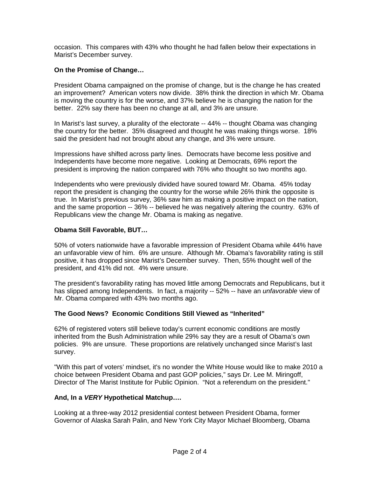occasion. This compares with 43% who thought he had fallen below their expectations in Marist's December survey.

#### **On the Promise of Change…**

President Obama campaigned on the promise of change, but is the change he has created an improvement? American voters now divide. 38% think the direction in which Mr. Obama is moving the country is for the worse, and 37% believe he is changing the nation for the better. 22% say there has been no change at all, and 3% are unsure.

In Marist's last survey, a plurality of the electorate -- 44% -- thought Obama was changing the country for the better. 35% disagreed and thought he was making things worse. 18% said the president had not brought about any change, and 3% were unsure.

Impressions have shifted across party lines. Democrats have become less positive and Independents have become more negative. Looking at Democrats, 69% report the president is improving the nation compared with 76% who thought so two months ago.

Independents who were previously divided have soured toward Mr. Obama. 45% today report the president is changing the country for the worse while 26% think the opposite is true. In Marist's previous survey, 36% saw him as making a positive impact on the nation, and the same proportion -- 36% -- believed he was negatively altering the country. 63% of Republicans view the change Mr. Obama is making as negative.

### **Obama Still Favorable, BUT…**

50% of voters nationwide have a favorable impression of President Obama while 44% have an unfavorable view of him. 6% are unsure. Although Mr. Obama's favorability rating is still positive, it has dropped since Marist's December survey. Then, 55% thought well of the president, and 41% did not. 4% were unsure.

The president's favorability rating has moved little among Democrats and Republicans, but it has slipped among Independents. In fact, a majority -- 52% -- have an *unfavorable* view of Mr. Obama compared with 43% two months ago.

#### **The Good News? Economic Conditions Still Viewed as "Inherited"**

62% of registered voters still believe today's current economic conditions are mostly inherited from the Bush Administration while 29% say they are a result of Obama's own policies. 9% are unsure. These proportions are relatively unchanged since Marist's last survey.

"With this part of voters' mindset, it's no wonder the White House would like to make 2010 a choice between President Obama and past GOP policies," says Dr. Lee M. Miringoff, Director of The Marist Institute for Public Opinion. "Not a referendum on the president."

#### **And, In a** *VERY* **Hypothetical Matchup….**

Looking at a three-way 2012 presidential contest between President Obama, former Governor of Alaska Sarah Palin, and New York City Mayor Michael Bloomberg, Obama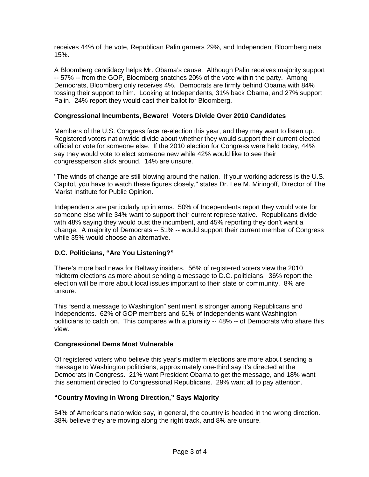receives 44% of the vote, Republican Palin garners 29%, and Independent Bloomberg nets 15%.

A Bloomberg candidacy helps Mr. Obama's cause. Although Palin receives majority support -- 57% -- from the GOP, Bloomberg snatches 20% of the vote within the party. Among Democrats, Bloomberg only receives 4%. Democrats are firmly behind Obama with 84% tossing their support to him. Looking at Independents, 31% back Obama, and 27% support Palin. 24% report they would cast their ballot for Bloomberg.

#### **Congressional Incumbents, Beware! Voters Divide Over 2010 Candidates**

Members of the U.S. Congress face re-election this year, and they may want to listen up. Registered voters nationwide divide about whether they would support their current elected official or vote for someone else. If the 2010 election for Congress were held today, 44% say they would vote to elect someone new while 42% would like to see their congressperson stick around. 14% are unsure.

"The winds of change are still blowing around the nation. If your working address is the U.S. Capitol, you have to watch these figures closely," states Dr. Lee M. Miringoff, Director of The Marist Institute for Public Opinion.

Independents are particularly up in arms. 50% of Independents report they would vote for someone else while 34% want to support their current representative. Republicans divide with 48% saying they would oust the incumbent, and 45% reporting they don't want a change. A majority of Democrats -- 51% -- would support their current member of Congress while 35% would choose an alternative.

## **D.C. Politicians, "Are You Listening?"**

There's more bad news for Beltway insiders. 56% of registered voters view the 2010 midterm elections as more about sending a message to D.C. politicians. 36% report the election will be more about local issues important to their state or community. 8% are unsure.

This "send a message to Washington" sentiment is stronger among Republicans and Independents. 62% of GOP members and 61% of Independents want Washington politicians to catch on. This compares with a plurality -- 48% -- of Democrats who share this view.

#### **Congressional Dems Most Vulnerable**

Of registered voters who believe this year's midterm elections are more about sending a message to Washington politicians, approximately one-third say it's directed at the Democrats in Congress. 21% want President Obama to get the message, and 18% want this sentiment directed to Congressional Republicans. 29% want all to pay attention.

#### **"Country Moving in Wrong Direction," Says Majority**

54% of Americans nationwide say, in general, the country is headed in the wrong direction. 38% believe they are moving along the right track, and 8% are unsure.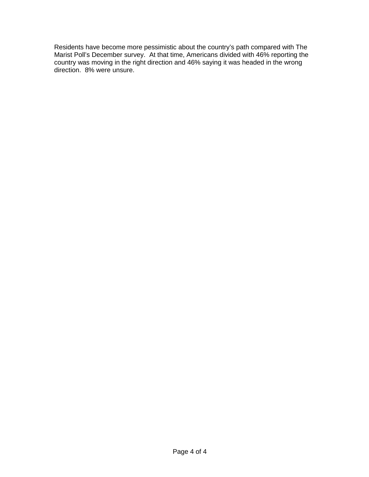Residents have become more pessimistic about the country's path compared with The Marist Poll's December survey. At that time, Americans divided with 46% reporting the country was moving in the right direction and 46% saying it was headed in the wrong direction. 8% were unsure.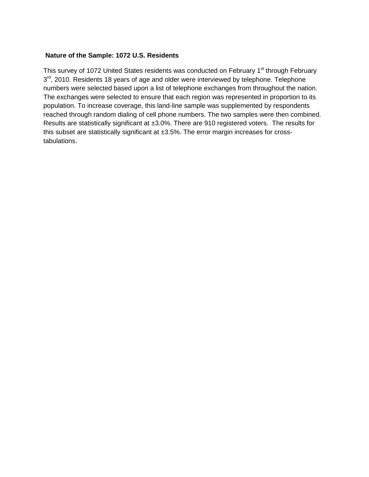#### **Nature of the Sample: 1072 U.S. Residents**

This survey of 1072 United States residents was conducted on February 1<sup>st</sup> through February  $3<sup>rd</sup>$ , 2010. Residents 18 years of age and older were interviewed by telephone. Telephone numbers were selected based upon a list of telephone exchanges from throughout the nation. The exchanges were selected to ensure that each region was represented in proportion to its population. To increase coverage, this land-line sample was supplemented by respondents reached through random dialing of cell phone numbers. The two samples were then combined. Results are statistically significant at ±3.0%. There are 910 registered voters. The results for this subset are statistically significant at ±3.5%. The error margin increases for crosstabulations.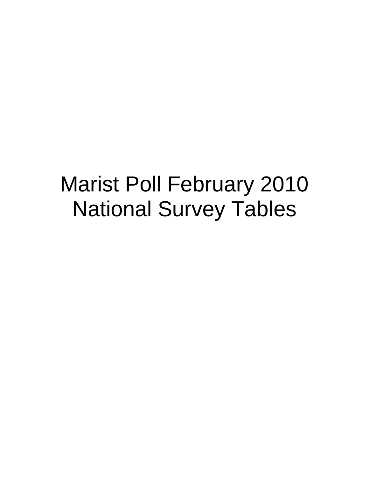# Marist Poll February 2010 National Survey Tables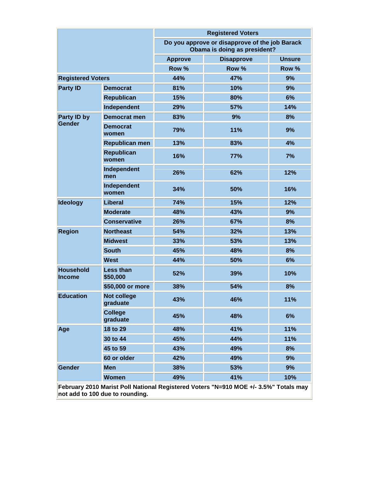|                                                                                                                         |                                |                | <b>Registered Voters</b>                                                       |               |  |
|-------------------------------------------------------------------------------------------------------------------------|--------------------------------|----------------|--------------------------------------------------------------------------------|---------------|--|
|                                                                                                                         |                                |                | Do you approve or disapprove of the job Barack<br>Obama is doing as president? |               |  |
|                                                                                                                         |                                | <b>Approve</b> | <b>Disapprove</b>                                                              | <b>Unsure</b> |  |
|                                                                                                                         |                                | Row %          | Row %                                                                          | Row %         |  |
| <b>Registered Voters</b>                                                                                                |                                | 44%            | 47%                                                                            | 9%            |  |
| <b>Party ID</b>                                                                                                         | <b>Democrat</b>                | 81%            | 10%                                                                            | 9%            |  |
|                                                                                                                         | <b>Republican</b>              | 15%            | 80%                                                                            | 6%            |  |
|                                                                                                                         | Independent                    | 29%            | 57%                                                                            | 14%           |  |
| Party ID by                                                                                                             | <b>Democrat men</b>            | 83%            | 9%                                                                             | 8%            |  |
| <b>Gender</b>                                                                                                           | <b>Democrat</b><br>women       | 79%            | 11%                                                                            | 9%            |  |
|                                                                                                                         | <b>Republican men</b>          | 13%            | 83%                                                                            | 4%            |  |
|                                                                                                                         | <b>Republican</b><br>women     | 16%            | <b>77%</b>                                                                     | 7%            |  |
|                                                                                                                         | Independent<br>men             | 26%            | 62%                                                                            | 12%           |  |
|                                                                                                                         | Independent<br>women           | 34%            | 50%                                                                            | 16%           |  |
| <b>Ideology</b>                                                                                                         | Liberal                        | 74%            | 15%                                                                            | 12%           |  |
|                                                                                                                         | <b>Moderate</b>                | 48%            | 43%                                                                            | 9%            |  |
|                                                                                                                         | <b>Conservative</b>            | 26%            | 67%                                                                            | 8%            |  |
| <b>Region</b>                                                                                                           | <b>Northeast</b>               | 54%            | 32%                                                                            | 13%           |  |
|                                                                                                                         | <b>Midwest</b>                 | 33%            | 53%                                                                            | 13%           |  |
|                                                                                                                         | <b>South</b>                   | 45%            | 48%                                                                            | 8%            |  |
|                                                                                                                         | <b>West</b>                    | 44%            | 50%                                                                            | 6%            |  |
| <b>Household</b><br><b>Income</b>                                                                                       | Less than<br>\$50,000          | 52%            | 39%                                                                            | 10%           |  |
|                                                                                                                         | \$50,000 or more               | 38%            | 54%                                                                            | 8%            |  |
| <b>Education</b>                                                                                                        | <b>Not college</b><br>graduate | 43%            | 46%                                                                            | 11%           |  |
|                                                                                                                         | <b>College</b><br>graduate     | 45%            | 48%                                                                            | 6%            |  |
| Age                                                                                                                     | 18 to 29                       | 48%            | 41%                                                                            | 11%           |  |
|                                                                                                                         | 30 to 44                       | 45%            | 44%                                                                            | 11%           |  |
|                                                                                                                         | 45 to 59                       | 43%            | 49%                                                                            | 8%            |  |
|                                                                                                                         | 60 or older                    | 42%            | 49%                                                                            | 9%            |  |
| Gender                                                                                                                  | <b>Men</b>                     | 38%            | 53%                                                                            | 9%            |  |
|                                                                                                                         | <b>Women</b>                   | 49%            | 41%                                                                            | 10%           |  |
| February 2010 Marist Poll National Registered Voters "N=910 MOE +/- 3.5%" Totals may<br>not add to 100 due to rounding. |                                |                |                                                                                |               |  |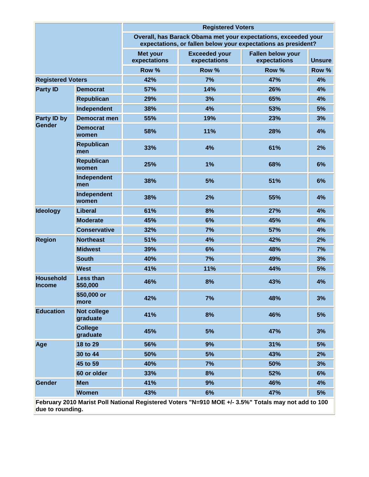|                                   |                                | <b>Registered Voters</b>        |                                      |                                                                                                                                 |               |  |  |
|-----------------------------------|--------------------------------|---------------------------------|--------------------------------------|---------------------------------------------------------------------------------------------------------------------------------|---------------|--|--|
|                                   |                                |                                 |                                      | Overall, has Barack Obama met your expectations, exceeded your<br>expectations, or fallen below your expectations as president? |               |  |  |
|                                   |                                | <b>Met your</b><br>expectations | <b>Exceeded your</b><br>expectations | <b>Fallen below your</b><br>expectations                                                                                        | <b>Unsure</b> |  |  |
|                                   |                                | Row %                           | Row %                                | Row %                                                                                                                           | Row %         |  |  |
| <b>Registered Voters</b>          |                                | 42%                             | 7%                                   | 47%                                                                                                                             | 4%            |  |  |
| <b>Party ID</b>                   | <b>Democrat</b>                | 57%                             | 14%                                  | 26%                                                                                                                             | 4%            |  |  |
|                                   | <b>Republican</b>              | 29%                             | 3%                                   | 65%                                                                                                                             | 4%            |  |  |
|                                   | Independent                    | 38%                             | 4%                                   | 53%                                                                                                                             | 5%            |  |  |
| Party ID by                       | <b>Democrat men</b>            | 55%                             | 19%                                  | 23%                                                                                                                             | 3%            |  |  |
| Gender                            | <b>Democrat</b><br>women       | 58%                             | 11%                                  | 28%                                                                                                                             | 4%            |  |  |
|                                   | <b>Republican</b><br>men       | 33%                             | 4%                                   | 61%                                                                                                                             | 2%            |  |  |
|                                   | <b>Republican</b><br>women     | 25%                             | 1%                                   | 68%                                                                                                                             | 6%            |  |  |
|                                   | Independent<br>men             | 38%                             | 5%                                   | 51%                                                                                                                             | 6%            |  |  |
|                                   | Independent<br>women           | 38%                             | 2%                                   | 55%                                                                                                                             | 4%            |  |  |
| <b>Ideology</b>                   | <b>Liberal</b>                 | 61%                             | 8%                                   | 27%                                                                                                                             | 4%            |  |  |
|                                   | <b>Moderate</b>                | 45%                             | 6%                                   | 45%                                                                                                                             | 4%            |  |  |
|                                   | <b>Conservative</b>            | 32%                             | 7%                                   | 57%                                                                                                                             | 4%            |  |  |
| <b>Region</b>                     | <b>Northeast</b>               | 51%                             | 4%                                   | 42%                                                                                                                             | 2%            |  |  |
|                                   | <b>Midwest</b>                 | 39%                             | 6%                                   | 48%                                                                                                                             | 7%            |  |  |
|                                   | <b>South</b>                   | 40%                             | 7%                                   | 49%                                                                                                                             | 3%            |  |  |
|                                   | <b>West</b>                    | 41%                             | 11%                                  | 44%                                                                                                                             | 5%            |  |  |
| <b>Household</b><br><b>Income</b> | <b>Less than</b><br>\$50,000   | 46%                             | 8%                                   | 43%                                                                                                                             | 4%            |  |  |
|                                   | \$50,000 or<br>more            | 42%                             | 7%                                   | 48%                                                                                                                             | 3%            |  |  |
| <b>Education</b>                  | <b>Not college</b><br>graduate | 41%                             | 8%                                   | 46%                                                                                                                             | 5%            |  |  |
|                                   | <b>College</b><br>graduate     | 45%                             | 5%                                   | 47%                                                                                                                             | 3%            |  |  |
| Age                               | 18 to 29                       | 56%                             | 9%                                   | 31%                                                                                                                             | 5%            |  |  |
|                                   | 30 to 44                       | 50%                             | 5%                                   | 43%                                                                                                                             | 2%            |  |  |
|                                   | 45 to 59                       | 40%                             | 7%                                   | 50%                                                                                                                             | 3%            |  |  |
|                                   | 60 or older                    | 33%                             | 8%                                   | 52%                                                                                                                             | 6%            |  |  |
| Gender                            | <b>Men</b>                     | 41%                             | 9%                                   | 46%                                                                                                                             | 4%            |  |  |
|                                   | <b>Women</b>                   | 43%                             | 6%                                   | 47%                                                                                                                             | 5%            |  |  |
| due to rounding.                  |                                |                                 |                                      | February 2010 Marist Poll National Registered Voters "N=910 MOE +/- 3.5%" Totals may not add to 100                             |               |  |  |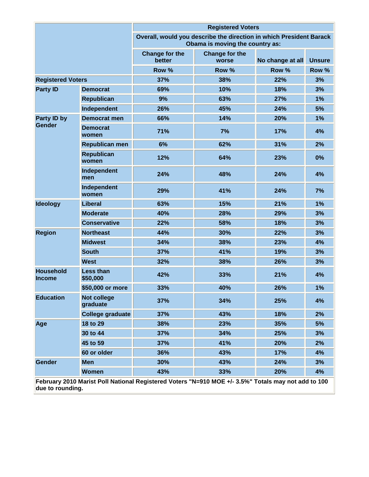|                                   |                                | <b>Registered Voters</b>        |                                                                                                        |                  |               |
|-----------------------------------|--------------------------------|---------------------------------|--------------------------------------------------------------------------------------------------------|------------------|---------------|
|                                   |                                |                                 | Overall, would you describe the direction in which President Barack<br>Obama is moving the country as: |                  |               |
|                                   |                                | <b>Change for the</b><br>better | <b>Change for the</b><br>worse                                                                         | No change at all | <b>Unsure</b> |
|                                   |                                | Row %                           | Row %                                                                                                  | Row %            | Row %         |
| <b>Registered Voters</b>          |                                | 37%                             | 38%                                                                                                    | 22%              | 3%            |
| <b>Party ID</b>                   | <b>Democrat</b>                | 69%                             | 10%                                                                                                    | 18%              | 3%            |
|                                   | <b>Republican</b>              | 9%                              | 63%                                                                                                    | 27%              | 1%            |
|                                   | Independent                    | 26%                             | 45%                                                                                                    | 24%              | 5%            |
| Party ID by                       | <b>Democrat men</b>            | 66%                             | 14%                                                                                                    | 20%              | 1%            |
| Gender                            | <b>Democrat</b><br>women       | 71%                             | 7%                                                                                                     | 17%              | 4%            |
|                                   | <b>Republican men</b>          | 6%                              | 62%                                                                                                    | 31%              | 2%            |
|                                   | <b>Republican</b><br>women     | 12%                             | 64%                                                                                                    | 23%              | 0%            |
|                                   | Independent<br>men             | 24%                             | 48%                                                                                                    | 24%              | 4%            |
|                                   | Independent<br>women           | 29%                             | 41%                                                                                                    | 24%              | 7%            |
| <b>Ideology</b>                   | <b>Liberal</b>                 | 63%                             | 15%                                                                                                    | 21%              | 1%            |
|                                   | <b>Moderate</b>                | 40%                             | 28%                                                                                                    | 29%              | 3%            |
|                                   | <b>Conservative</b>            | 22%                             | 58%                                                                                                    | 18%              | 3%            |
| <b>Region</b>                     | <b>Northeast</b>               | 44%                             | 30%                                                                                                    | 22%              | 3%            |
|                                   | <b>Midwest</b>                 | 34%                             | 38%                                                                                                    | 23%              | 4%            |
|                                   | <b>South</b>                   | 37%                             | 41%                                                                                                    | 19%              | 3%            |
|                                   | <b>West</b>                    | 32%                             | 38%                                                                                                    | 26%              | 3%            |
| <b>Household</b><br><b>Income</b> | <b>Less than</b><br>\$50,000   | 42%                             | 33%                                                                                                    | 21%              | 4%            |
|                                   | \$50,000 or more               | 33%                             | 40%                                                                                                    | 26%              | 1%            |
| <b>Education</b>                  | <b>Not college</b><br>graduate | 37%                             | 34%                                                                                                    | 25%              | 4%            |
|                                   | <b>College graduate</b>        | 37%                             | 43%                                                                                                    | 18%              | 2%            |
| Age                               | 18 to 29                       | 38%                             | 23%                                                                                                    | 35%              | 5%            |
|                                   | 30 to 44                       | 37%                             | 34%                                                                                                    | 25%              | 3%            |
|                                   | 45 to 59                       | 37%                             | 41%                                                                                                    | 20%              | 2%            |
|                                   | 60 or older                    | 36%                             | 43%                                                                                                    | 17%              | 4%            |
| Gender                            | <b>Men</b>                     | 30%                             | 43%                                                                                                    | 24%              | 3%            |
|                                   | <b>Women</b>                   | 43%                             | 33%                                                                                                    | 20%              | 4%            |
| due to rounding.                  |                                |                                 | February 2010 Marist Poll National Registered Voters "N=910 MOE +/- 3.5%" Totals may not add to 100    |                  |               |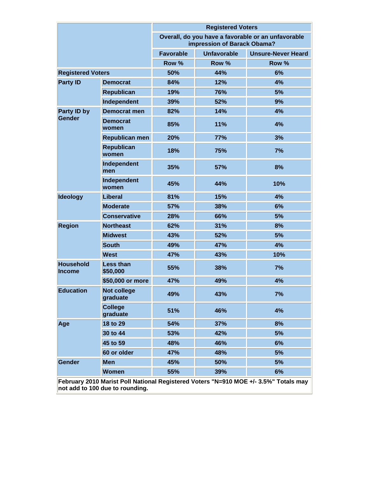| Overall, do you have a favorable or an unfavorable<br>impression of Barack Obama?<br><b>Favorable</b><br><b>Unfavorable</b><br><b>Unsure-Never Heard</b><br>Row %<br>Row %<br>Row %<br>50%<br>44%<br>6%<br>84%<br>12%<br>4%<br><b>Democrat</b><br><b>Republican</b><br>5%<br>19%<br>76%<br>Independent<br>39%<br>52%<br>9%<br>82%<br>14%<br>4%<br><b>Democrat men</b><br>Gender<br><b>Democrat</b><br>85%<br>11%<br>4%<br>women<br>20%<br>77%<br>3%<br>Republican men<br><b>Republican</b><br>7%<br>18%<br>75%<br>women<br>Independent<br>8%<br>35%<br>57%<br>men<br>Independent<br>45%<br>10%<br>44%<br>women<br><b>Liberal</b><br>81%<br>15%<br>4%<br><b>Moderate</b><br>57%<br>38%<br>6%<br><b>Conservative</b><br>28%<br>66%<br>5%<br>62%<br>31%<br>8%<br><b>Northeast</b><br><b>Midwest</b><br>43%<br>52%<br>5%<br><b>South</b><br>49%<br>47%<br>4%<br>47%<br><b>West</b><br>43%<br>10%<br><b>Less than</b><br>55%<br>38%<br>7%<br>\$50,000<br>\$50,000 or more<br>47%<br>49%<br>4%<br><b>Not college</b><br>49%<br>43%<br>7%<br>graduate<br><b>College</b><br>4%<br>51%<br>46%<br>graduate<br>8%<br>18 to 29<br>54%<br>37%<br>30 to 44<br>42%<br>5%<br>53%<br>45 to 59<br>48%<br>46%<br>6%<br>60 or older<br>47%<br>48%<br>5% |                                   |            | <b>Registered Voters</b> |     |    |  |
|-------------------------------------------------------------------------------------------------------------------------------------------------------------------------------------------------------------------------------------------------------------------------------------------------------------------------------------------------------------------------------------------------------------------------------------------------------------------------------------------------------------------------------------------------------------------------------------------------------------------------------------------------------------------------------------------------------------------------------------------------------------------------------------------------------------------------------------------------------------------------------------------------------------------------------------------------------------------------------------------------------------------------------------------------------------------------------------------------------------------------------------------------------------------------------------------------------------------------------------|-----------------------------------|------------|--------------------------|-----|----|--|
|                                                                                                                                                                                                                                                                                                                                                                                                                                                                                                                                                                                                                                                                                                                                                                                                                                                                                                                                                                                                                                                                                                                                                                                                                                     |                                   |            |                          |     |    |  |
|                                                                                                                                                                                                                                                                                                                                                                                                                                                                                                                                                                                                                                                                                                                                                                                                                                                                                                                                                                                                                                                                                                                                                                                                                                     |                                   |            |                          |     |    |  |
|                                                                                                                                                                                                                                                                                                                                                                                                                                                                                                                                                                                                                                                                                                                                                                                                                                                                                                                                                                                                                                                                                                                                                                                                                                     |                                   |            |                          |     |    |  |
|                                                                                                                                                                                                                                                                                                                                                                                                                                                                                                                                                                                                                                                                                                                                                                                                                                                                                                                                                                                                                                                                                                                                                                                                                                     | <b>Registered Voters</b>          |            |                          |     |    |  |
|                                                                                                                                                                                                                                                                                                                                                                                                                                                                                                                                                                                                                                                                                                                                                                                                                                                                                                                                                                                                                                                                                                                                                                                                                                     | <b>Party ID</b>                   |            |                          |     |    |  |
|                                                                                                                                                                                                                                                                                                                                                                                                                                                                                                                                                                                                                                                                                                                                                                                                                                                                                                                                                                                                                                                                                                                                                                                                                                     |                                   |            |                          |     |    |  |
|                                                                                                                                                                                                                                                                                                                                                                                                                                                                                                                                                                                                                                                                                                                                                                                                                                                                                                                                                                                                                                                                                                                                                                                                                                     |                                   |            |                          |     |    |  |
|                                                                                                                                                                                                                                                                                                                                                                                                                                                                                                                                                                                                                                                                                                                                                                                                                                                                                                                                                                                                                                                                                                                                                                                                                                     | Party ID by                       |            |                          |     |    |  |
|                                                                                                                                                                                                                                                                                                                                                                                                                                                                                                                                                                                                                                                                                                                                                                                                                                                                                                                                                                                                                                                                                                                                                                                                                                     |                                   |            |                          |     |    |  |
|                                                                                                                                                                                                                                                                                                                                                                                                                                                                                                                                                                                                                                                                                                                                                                                                                                                                                                                                                                                                                                                                                                                                                                                                                                     |                                   |            |                          |     |    |  |
|                                                                                                                                                                                                                                                                                                                                                                                                                                                                                                                                                                                                                                                                                                                                                                                                                                                                                                                                                                                                                                                                                                                                                                                                                                     |                                   |            |                          |     |    |  |
|                                                                                                                                                                                                                                                                                                                                                                                                                                                                                                                                                                                                                                                                                                                                                                                                                                                                                                                                                                                                                                                                                                                                                                                                                                     |                                   |            |                          |     |    |  |
|                                                                                                                                                                                                                                                                                                                                                                                                                                                                                                                                                                                                                                                                                                                                                                                                                                                                                                                                                                                                                                                                                                                                                                                                                                     |                                   |            |                          |     |    |  |
|                                                                                                                                                                                                                                                                                                                                                                                                                                                                                                                                                                                                                                                                                                                                                                                                                                                                                                                                                                                                                                                                                                                                                                                                                                     | <b>Ideology</b>                   |            |                          |     |    |  |
|                                                                                                                                                                                                                                                                                                                                                                                                                                                                                                                                                                                                                                                                                                                                                                                                                                                                                                                                                                                                                                                                                                                                                                                                                                     |                                   |            |                          |     |    |  |
|                                                                                                                                                                                                                                                                                                                                                                                                                                                                                                                                                                                                                                                                                                                                                                                                                                                                                                                                                                                                                                                                                                                                                                                                                                     |                                   |            |                          |     |    |  |
|                                                                                                                                                                                                                                                                                                                                                                                                                                                                                                                                                                                                                                                                                                                                                                                                                                                                                                                                                                                                                                                                                                                                                                                                                                     | <b>Region</b>                     |            |                          |     |    |  |
|                                                                                                                                                                                                                                                                                                                                                                                                                                                                                                                                                                                                                                                                                                                                                                                                                                                                                                                                                                                                                                                                                                                                                                                                                                     |                                   |            |                          |     |    |  |
|                                                                                                                                                                                                                                                                                                                                                                                                                                                                                                                                                                                                                                                                                                                                                                                                                                                                                                                                                                                                                                                                                                                                                                                                                                     |                                   |            |                          |     |    |  |
|                                                                                                                                                                                                                                                                                                                                                                                                                                                                                                                                                                                                                                                                                                                                                                                                                                                                                                                                                                                                                                                                                                                                                                                                                                     |                                   |            |                          |     |    |  |
|                                                                                                                                                                                                                                                                                                                                                                                                                                                                                                                                                                                                                                                                                                                                                                                                                                                                                                                                                                                                                                                                                                                                                                                                                                     | <b>Household</b><br><b>Income</b> |            |                          |     |    |  |
|                                                                                                                                                                                                                                                                                                                                                                                                                                                                                                                                                                                                                                                                                                                                                                                                                                                                                                                                                                                                                                                                                                                                                                                                                                     |                                   |            |                          |     |    |  |
|                                                                                                                                                                                                                                                                                                                                                                                                                                                                                                                                                                                                                                                                                                                                                                                                                                                                                                                                                                                                                                                                                                                                                                                                                                     | <b>Education</b>                  |            |                          |     |    |  |
|                                                                                                                                                                                                                                                                                                                                                                                                                                                                                                                                                                                                                                                                                                                                                                                                                                                                                                                                                                                                                                                                                                                                                                                                                                     |                                   |            |                          |     |    |  |
|                                                                                                                                                                                                                                                                                                                                                                                                                                                                                                                                                                                                                                                                                                                                                                                                                                                                                                                                                                                                                                                                                                                                                                                                                                     | Age                               |            |                          |     |    |  |
|                                                                                                                                                                                                                                                                                                                                                                                                                                                                                                                                                                                                                                                                                                                                                                                                                                                                                                                                                                                                                                                                                                                                                                                                                                     |                                   |            |                          |     |    |  |
|                                                                                                                                                                                                                                                                                                                                                                                                                                                                                                                                                                                                                                                                                                                                                                                                                                                                                                                                                                                                                                                                                                                                                                                                                                     |                                   |            |                          |     |    |  |
|                                                                                                                                                                                                                                                                                                                                                                                                                                                                                                                                                                                                                                                                                                                                                                                                                                                                                                                                                                                                                                                                                                                                                                                                                                     |                                   |            |                          |     |    |  |
|                                                                                                                                                                                                                                                                                                                                                                                                                                                                                                                                                                                                                                                                                                                                                                                                                                                                                                                                                                                                                                                                                                                                                                                                                                     | Gender                            | <b>Men</b> | 45%                      | 50% | 5% |  |
| <b>Women</b><br>55%<br>39%<br>6%                                                                                                                                                                                                                                                                                                                                                                                                                                                                                                                                                                                                                                                                                                                                                                                                                                                                                                                                                                                                                                                                                                                                                                                                    |                                   |            |                          |     |    |  |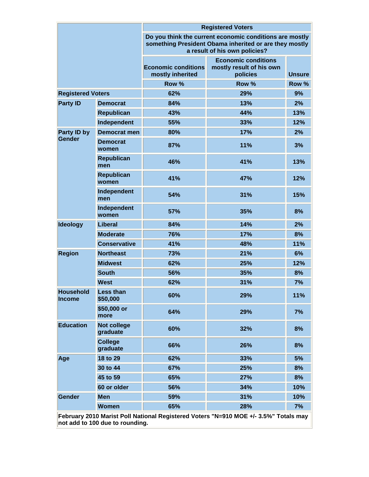|                                   |                                | <b>Registered Voters</b>                                                                                                                           |                                                                    |               |  |  |
|-----------------------------------|--------------------------------|----------------------------------------------------------------------------------------------------------------------------------------------------|--------------------------------------------------------------------|---------------|--|--|
|                                   |                                | Do you think the current economic conditions are mostly<br>something President Obama inherited or are they mostly<br>a result of his own policies? |                                                                    |               |  |  |
|                                   |                                | <b>Economic conditions</b><br>mostly inherited                                                                                                     | <b>Economic conditions</b><br>mostly result of his own<br>policies | <b>Unsure</b> |  |  |
|                                   |                                | Row %                                                                                                                                              | Row %                                                              | Row %         |  |  |
| <b>Registered Voters</b>          |                                | 62%                                                                                                                                                | 29%                                                                | 9%            |  |  |
| <b>Party ID</b>                   | <b>Democrat</b>                | 84%                                                                                                                                                | 13%                                                                | 2%            |  |  |
|                                   | <b>Republican</b>              | 43%                                                                                                                                                | 44%                                                                | 13%           |  |  |
| Independent                       |                                | 55%                                                                                                                                                | 33%                                                                | 12%           |  |  |
| Party ID by                       | Democrat men                   | 80%                                                                                                                                                | 17%                                                                | 2%            |  |  |
| Gender                            | <b>Democrat</b><br>women       | 87%                                                                                                                                                | 11%                                                                | 3%            |  |  |
|                                   | <b>Republican</b><br>men       | 46%                                                                                                                                                | 41%                                                                | 13%           |  |  |
|                                   | <b>Republican</b><br>women     | 41%                                                                                                                                                | 47%                                                                | 12%           |  |  |
|                                   | Independent<br>men             | 54%                                                                                                                                                | 31%                                                                | 15%           |  |  |
|                                   | Independent<br>women           | 57%                                                                                                                                                | 35%                                                                | 8%            |  |  |
| <b>Ideology</b>                   | <b>Liberal</b>                 | 84%                                                                                                                                                | 14%                                                                | 2%            |  |  |
|                                   | <b>Moderate</b>                | 76%                                                                                                                                                | 17%                                                                | 8%            |  |  |
|                                   | <b>Conservative</b>            | 41%                                                                                                                                                | 48%                                                                | 11%           |  |  |
| <b>Region</b>                     | <b>Northeast</b>               | 73%                                                                                                                                                | 21%                                                                | 6%            |  |  |
|                                   | <b>Midwest</b>                 | 62%                                                                                                                                                | 25%                                                                | 12%           |  |  |
|                                   | <b>South</b>                   | 56%                                                                                                                                                | 35%                                                                | 8%            |  |  |
|                                   | <b>West</b>                    | 62%                                                                                                                                                | 31%                                                                | 7%            |  |  |
| <b>Household</b><br><b>Income</b> | Less than<br>\$50,000          | 60%                                                                                                                                                | 29%                                                                | 11%           |  |  |
|                                   | \$50,000 or<br>more            | 64%                                                                                                                                                | 29%                                                                | 7%            |  |  |
| <b>Education</b>                  | <b>Not college</b><br>graduate | 60%                                                                                                                                                | 32%                                                                | 8%            |  |  |
|                                   | <b>College</b><br>graduate     | 66%                                                                                                                                                | 26%                                                                | 8%            |  |  |
| Age                               | 18 to 29                       | 62%                                                                                                                                                | 33%                                                                | 5%            |  |  |
|                                   | 30 to 44                       | 67%                                                                                                                                                | 25%                                                                | 8%            |  |  |
|                                   | 45 to 59                       | 65%                                                                                                                                                | 27%                                                                | 8%            |  |  |
|                                   | 60 or older                    | 56%                                                                                                                                                | 34%                                                                | 10%           |  |  |
| Gender                            | <b>Men</b>                     | 59%                                                                                                                                                | 31%                                                                | 10%           |  |  |
|                                   | <b>Women</b>                   | 65%                                                                                                                                                | 28%                                                                | 7%            |  |  |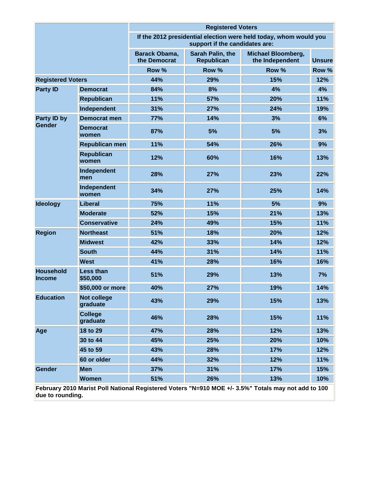|                                   |                                |                               | <b>Registered Voters</b>              |                                                                                                     |               |
|-----------------------------------|--------------------------------|-------------------------------|---------------------------------------|-----------------------------------------------------------------------------------------------------|---------------|
|                                   |                                |                               | support if the candidates are:        | If the 2012 presidential election were held today, whom would you                                   |               |
|                                   |                                | Barack Obama,<br>the Democrat | Sarah Palin, the<br><b>Republican</b> | Michael Bloomberg,<br>the Independent                                                               | <b>Unsure</b> |
|                                   |                                | Row %                         | Row %                                 | Row %                                                                                               | Row %         |
| <b>Registered Voters</b>          |                                | 44%                           | 29%                                   | 15%                                                                                                 | 12%           |
| <b>Party ID</b>                   | <b>Democrat</b>                | 84%                           | 8%                                    | 4%                                                                                                  | 4%            |
|                                   | <b>Republican</b>              | 11%                           | 57%                                   | 20%                                                                                                 | 11%           |
|                                   | Independent                    | 31%                           | 27%                                   | 24%                                                                                                 | 19%           |
| <b>Party ID by</b>                | <b>Democrat men</b>            | 77%                           | 14%                                   | 3%                                                                                                  | 6%            |
| Gender                            | <b>Democrat</b><br>women       | 87%                           | 5%                                    | 5%                                                                                                  | 3%            |
|                                   | <b>Republican men</b>          | 11%                           | 54%                                   | 26%                                                                                                 | 9%            |
|                                   | <b>Republican</b><br>women     | 12%                           | 60%                                   | 16%                                                                                                 | 13%           |
|                                   | Independent<br>men             | 28%                           | 27%                                   | 23%                                                                                                 | 22%           |
|                                   | Independent<br>women           | 34%                           | 27%                                   | 25%                                                                                                 | 14%           |
| <b>Ideology</b>                   | Liberal                        | 75%                           | 11%                                   | 5%                                                                                                  | 9%            |
|                                   | <b>Moderate</b>                | 52%                           | 15%                                   | 21%                                                                                                 | 13%           |
|                                   | <b>Conservative</b>            | 24%                           | 49%                                   | 15%                                                                                                 | 11%           |
| <b>Region</b>                     | <b>Northeast</b>               | 51%                           | 18%                                   | 20%                                                                                                 | 12%           |
|                                   | <b>Midwest</b>                 | 42%                           | 33%                                   | 14%                                                                                                 | 12%           |
|                                   | <b>South</b>                   | 44%                           | 31%                                   | 14%                                                                                                 | 11%           |
|                                   | <b>West</b>                    | 41%                           | 28%                                   | 16%                                                                                                 | 16%           |
| <b>Household</b><br><b>Income</b> | <b>Less than</b><br>\$50,000   | 51%                           | 29%                                   | 13%                                                                                                 | 7%            |
|                                   | \$50,000 or more               | 40%                           | 27%                                   | 19%                                                                                                 | 14%           |
| <b>Education</b>                  | <b>Not college</b><br>graduate | 43%                           | 29%                                   | 15%                                                                                                 | 13%           |
|                                   | <b>College</b><br>graduate     | 46%                           | 28%                                   | 15%                                                                                                 | 11%           |
| Age                               | 18 to 29                       | 47%                           | 28%                                   | 12%                                                                                                 | 13%           |
|                                   | 30 to 44                       | 45%                           | 25%                                   | 20%                                                                                                 | 10%           |
|                                   | 45 to 59                       | 43%                           | 28%                                   | 17%                                                                                                 | 12%           |
|                                   | 60 or older                    | 44%                           | 32%                                   | 12%                                                                                                 | 11%           |
| Gender                            | <b>Men</b>                     | 37%                           | 31%                                   | 17%                                                                                                 | 15%           |
|                                   | <b>Women</b>                   | 51%                           | 26%                                   | 13%                                                                                                 | 10%           |
| due to rounding.                  |                                |                               |                                       | February 2010 Marist Poll National Registered Voters "N=910 MOE +/- 3.5%" Totals may not add to 100 |               |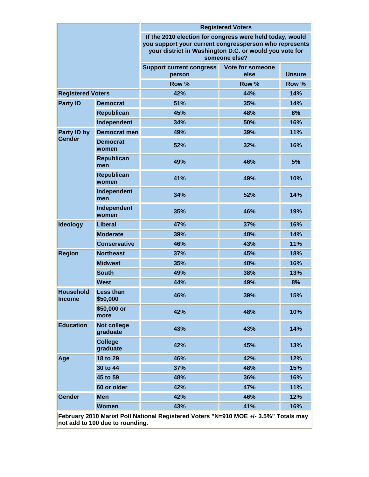|                                                                        |                                | <b>Registered Voters</b>                                                                                                                                                                      |                                 |               |  |  |
|------------------------------------------------------------------------|--------------------------------|-----------------------------------------------------------------------------------------------------------------------------------------------------------------------------------------------|---------------------------------|---------------|--|--|
|                                                                        |                                | If the 2010 election for congress were held today, would<br>you support your current congressperson who represents<br>your district in Washington D.C. or would you vote for<br>someone else? |                                 |               |  |  |
|                                                                        |                                | <b>Support current congress</b><br>person                                                                                                                                                     | <b>Vote for someone</b><br>else | <b>Unsure</b> |  |  |
|                                                                        |                                | Row %                                                                                                                                                                                         | Row %                           | Row %         |  |  |
| <b>Registered Voters</b>                                               |                                | 42%                                                                                                                                                                                           | 44%                             | 14%           |  |  |
| <b>Party ID</b><br><b>Democrat</b><br><b>Republican</b><br>Independent |                                | 51%                                                                                                                                                                                           | 35%                             | 14%           |  |  |
|                                                                        |                                | 45%                                                                                                                                                                                           | 48%                             | 8%            |  |  |
|                                                                        |                                | 34%                                                                                                                                                                                           | 50%                             | 16%           |  |  |
| Party ID by                                                            | <b>Democrat men</b>            | 49%                                                                                                                                                                                           | 39%                             | 11%           |  |  |
| Gender                                                                 | <b>Democrat</b><br>women       | 52%                                                                                                                                                                                           | 32%                             | 16%           |  |  |
|                                                                        | <b>Republican</b><br>men       | 49%                                                                                                                                                                                           | 46%                             | 5%            |  |  |
|                                                                        | <b>Republican</b><br>women     | 41%                                                                                                                                                                                           | 49%                             | 10%           |  |  |
|                                                                        | Independent<br>men             | 34%                                                                                                                                                                                           | 52%                             | 14%           |  |  |
|                                                                        | Independent<br>women           | 35%                                                                                                                                                                                           | 46%                             | 19%           |  |  |
| <b>Ideology</b>                                                        | Liberal                        | 47%                                                                                                                                                                                           | 37%                             | 16%           |  |  |
|                                                                        | <b>Moderate</b>                | 39%                                                                                                                                                                                           | 48%                             | 14%           |  |  |
|                                                                        | <b>Conservative</b>            | 46%                                                                                                                                                                                           | 43%                             | 11%           |  |  |
| <b>Region</b>                                                          | <b>Northeast</b>               | 37%                                                                                                                                                                                           | 45%                             | 18%           |  |  |
|                                                                        | <b>Midwest</b>                 | 35%                                                                                                                                                                                           | 48%                             | 16%           |  |  |
|                                                                        | <b>South</b>                   | 49%                                                                                                                                                                                           | 38%                             | 13%           |  |  |
|                                                                        | <b>West</b>                    | 44%                                                                                                                                                                                           | 49%                             | 8%            |  |  |
| <b>Household</b><br><b>Income</b>                                      | <b>Less than</b><br>\$50,000   | 46%<br>39%                                                                                                                                                                                    |                                 | 15%           |  |  |
|                                                                        | \$50,000 or<br>more            | 42%                                                                                                                                                                                           | 48%                             | 10%           |  |  |
| <b>Education</b>                                                       | <b>Not college</b><br>graduate | 43%                                                                                                                                                                                           | 43%                             | 14%           |  |  |
|                                                                        | <b>College</b><br>graduate     | 42%                                                                                                                                                                                           | 45%                             | 13%           |  |  |
| Age                                                                    | 18 to 29                       | 46%                                                                                                                                                                                           | 42%                             | 12%           |  |  |
|                                                                        | 30 to 44                       | 37%                                                                                                                                                                                           | 48%                             | 15%           |  |  |
|                                                                        | 45 to 59                       | 48%                                                                                                                                                                                           | 36%                             | 16%           |  |  |
|                                                                        | 60 or older                    | 42%                                                                                                                                                                                           | 47%                             | 11%           |  |  |
| Gender                                                                 | <b>Men</b>                     | 42%                                                                                                                                                                                           | 46%                             | 12%           |  |  |
|                                                                        | <b>Women</b>                   | 43%                                                                                                                                                                                           | 41%                             | 16%           |  |  |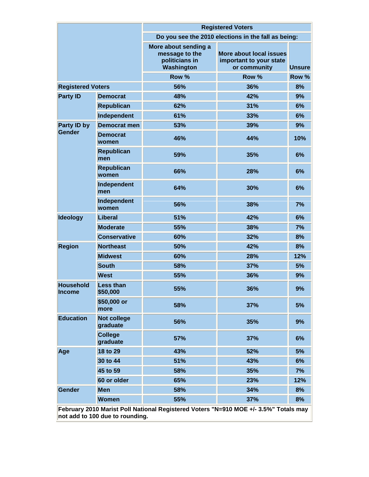|                                   |                                | <b>Registered Voters</b>                                               |                                                                    |               |  |  |
|-----------------------------------|--------------------------------|------------------------------------------------------------------------|--------------------------------------------------------------------|---------------|--|--|
|                                   |                                |                                                                        | Do you see the 2010 elections in the fall as being:                |               |  |  |
|                                   |                                | More about sending a<br>message to the<br>politicians in<br>Washington | More about local issues<br>important to your state<br>or community | <b>Unsure</b> |  |  |
|                                   |                                | Row %                                                                  | Row %                                                              | Row %         |  |  |
| <b>Registered Voters</b>          |                                | 56%                                                                    | 36%                                                                | 8%            |  |  |
| <b>Party ID</b>                   | <b>Democrat</b>                | 48%                                                                    | 42%                                                                | 9%            |  |  |
|                                   | <b>Republican</b>              | 62%                                                                    | 31%                                                                | 6%            |  |  |
|                                   | Independent                    | 61%                                                                    | 33%                                                                | 6%            |  |  |
| Party ID by                       | Democrat men                   | 53%                                                                    | 39%                                                                | 9%            |  |  |
| Gender                            | <b>Democrat</b><br>women       | 46%                                                                    | 44%                                                                | 10%           |  |  |
|                                   | <b>Republican</b><br>men       | 59%                                                                    | 35%                                                                | 6%            |  |  |
|                                   | <b>Republican</b><br>women     | 66%                                                                    | 28%                                                                | 6%            |  |  |
|                                   | Independent<br>men             | 64%                                                                    | 30%                                                                | 6%            |  |  |
|                                   | Independent<br>women           | 56%                                                                    | 38%                                                                | 7%            |  |  |
| <b>Ideology</b>                   | <b>Liberal</b>                 | 51%                                                                    | 42%                                                                | 6%            |  |  |
|                                   | <b>Moderate</b>                | 55%                                                                    | 38%                                                                | 7%            |  |  |
|                                   | <b>Conservative</b>            | 60%                                                                    | 32%                                                                | 8%            |  |  |
| <b>Region</b>                     | <b>Northeast</b>               | 50%                                                                    | 42%                                                                | 8%            |  |  |
|                                   | <b>Midwest</b>                 | 60%                                                                    | 28%                                                                | 12%           |  |  |
|                                   | <b>South</b>                   | 58%                                                                    | 37%                                                                | 5%            |  |  |
|                                   | <b>West</b>                    | 55%                                                                    | 36%                                                                | 9%            |  |  |
| <b>Household</b><br><b>Income</b> | <b>Less than</b><br>\$50,000   | 55%                                                                    | 36%                                                                | 9%            |  |  |
|                                   | \$50,000 or<br>more            | 58%                                                                    | 37%                                                                | 5%            |  |  |
| <b>Education</b>                  | <b>Not college</b><br>graduate | 56%                                                                    | 35%                                                                | 9%            |  |  |
|                                   | <b>College</b><br>graduate     | 57%                                                                    | 37%                                                                | 6%            |  |  |
| Age                               | 18 to 29                       | 43%                                                                    | 52%                                                                | 5%            |  |  |
|                                   | 30 to 44                       | 51%                                                                    | 43%                                                                | 6%            |  |  |
|                                   | 45 to 59                       | 58%                                                                    | 35%                                                                | 7%            |  |  |
|                                   | 60 or older                    | 65%                                                                    | 23%                                                                | 12%           |  |  |
| Gender                            | <b>Men</b>                     | 58%                                                                    | 34%                                                                | 8%            |  |  |
|                                   | Women                          | 55%                                                                    | 37%                                                                | 8%            |  |  |
|                                   |                                |                                                                        |                                                                    |               |  |  |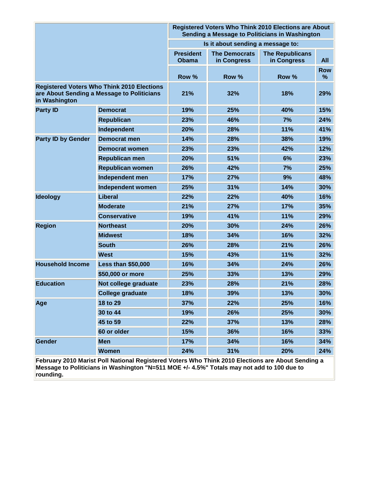|                                                                                                                  |                           |                                   |                                     | Registered Voters Who Think 2010 Elections are About<br>Sending a Message to Politicians in Washington |                 |  |
|------------------------------------------------------------------------------------------------------------------|---------------------------|-----------------------------------|-------------------------------------|--------------------------------------------------------------------------------------------------------|-----------------|--|
|                                                                                                                  |                           | Is it about sending a message to: |                                     |                                                                                                        |                 |  |
|                                                                                                                  |                           | <b>President</b><br><b>Obama</b>  | <b>The Democrats</b><br>in Congress | <b>The Republicans</b><br>in Congress                                                                  | <b>All</b>      |  |
|                                                                                                                  |                           | Row %                             | Row %                               | Row %                                                                                                  | <b>Row</b><br>% |  |
| <b>Registered Voters Who Think 2010 Elections</b><br>are About Sending a Message to Politicians<br>in Washington |                           | 21%                               | 32%                                 | 18%                                                                                                    | 29%             |  |
| <b>Party ID</b><br><b>Democrat</b>                                                                               |                           | 19%                               | 25%                                 | 40%                                                                                                    | 15%             |  |
|                                                                                                                  | <b>Republican</b>         | 23%                               | 46%                                 | 7%                                                                                                     | 24%             |  |
|                                                                                                                  | Independent               | 20%                               | 28%                                 | 11%                                                                                                    | 41%             |  |
| <b>Party ID by Gender</b>                                                                                        | <b>Democrat men</b>       | 14%                               | 28%                                 | 38%                                                                                                    | 19%             |  |
|                                                                                                                  | <b>Democrat women</b>     | 23%                               | 23%                                 | 42%                                                                                                    | 12%             |  |
|                                                                                                                  | <b>Republican men</b>     | 20%                               | 51%                                 | 6%                                                                                                     | 23%             |  |
|                                                                                                                  | <b>Republican women</b>   | 26%                               | 42%                                 | 7%                                                                                                     | 25%             |  |
|                                                                                                                  | Independent men           | 17%                               | 27%                                 | 9%                                                                                                     | 48%             |  |
|                                                                                                                  | Independent women         | 25%                               | 31%                                 | 14%                                                                                                    | 30%             |  |
| <b>Ideology</b>                                                                                                  | <b>Liberal</b>            | 22%                               | 22%                                 | 40%                                                                                                    | 16%             |  |
|                                                                                                                  | <b>Moderate</b>           | 21%                               | 27%                                 | 17%                                                                                                    | 35%             |  |
|                                                                                                                  | <b>Conservative</b>       | 19%                               | 41%                                 | 11%                                                                                                    | 29%             |  |
| <b>Region</b>                                                                                                    | <b>Northeast</b>          | 20%                               | 30%                                 | 24%                                                                                                    | 26%             |  |
|                                                                                                                  | <b>Midwest</b>            | 18%                               | 34%                                 | 16%                                                                                                    | 32%             |  |
|                                                                                                                  | <b>South</b>              | 26%                               | 28%                                 | 21%                                                                                                    | 26%             |  |
|                                                                                                                  | <b>West</b>               | 15%                               | 43%                                 | 11%                                                                                                    | 32%             |  |
| <b>Household Income</b>                                                                                          | <b>Less than \$50,000</b> | 16%                               | 34%                                 | 24%                                                                                                    | 26%             |  |
|                                                                                                                  | \$50,000 or more          | 25%                               | 33%                                 | 13%                                                                                                    | 29%             |  |
| <b>Education</b>                                                                                                 | Not college graduate      | 23%                               | 28%                                 | 21%                                                                                                    | 28%             |  |
|                                                                                                                  | <b>College graduate</b>   | 18%                               | 39%                                 | 13%                                                                                                    | 30%             |  |
| Age                                                                                                              | 18 to 29                  | 37%                               | 22%                                 | 25%                                                                                                    | 16%             |  |
|                                                                                                                  | 30 to 44                  | 19%                               | 26%                                 | 25%                                                                                                    | 30%             |  |
|                                                                                                                  | 45 to 59                  | 22%                               | 37%                                 | 13%                                                                                                    | 28%             |  |
|                                                                                                                  | 60 or older               | 15%                               | 36%                                 | 16%                                                                                                    | 33%             |  |
| Gender                                                                                                           | <b>Men</b>                | 17%                               | 34%                                 | 16%                                                                                                    | 34%             |  |
|                                                                                                                  | Women                     | 24%                               | 31%                                 | 20%                                                                                                    | 24%             |  |

**February 2010 Marist Poll National Registered Voters Who Think 2010 Elections are About Sending a Message to Politicians in Washington "N=511 MOE +/- 4.5%" Totals may not add to 100 due to rounding.**